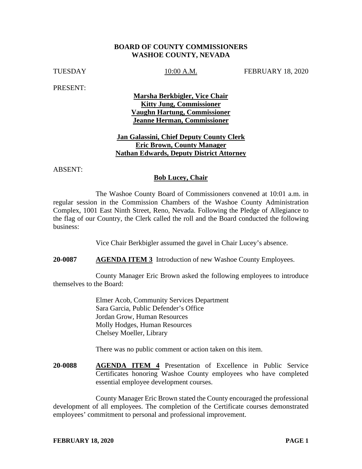#### **BOARD OF COUNTY COMMISSIONERS WASHOE COUNTY, NEVADA**

TUESDAY 10:00 A.M. FEBRUARY 18, 2020

PRESENT:

**Marsha Berkbigler, Vice Chair Kitty Jung, Commissioner Vaughn Hartung, Commissioner Jeanne Herman, Commissioner**

## **Jan Galassini, Chief Deputy County Clerk Eric Brown, County Manager Nathan Edwards, Deputy District Attorney**

ABSENT:

#### **Bob Lucey, Chair**

The Washoe County Board of Commissioners convened at 10:01 a.m. in regular session in the Commission Chambers of the Washoe County Administration Complex, 1001 East Ninth Street, Reno, Nevada. Following the Pledge of Allegiance to the flag of our Country, the Clerk called the roll and the Board conducted the following business:

Vice Chair Berkbigler assumed the gavel in Chair Lucey's absence.

**20-0087 AGENDA ITEM 3** Introduction of new Washoe County Employees.

County Manager Eric Brown asked the following employees to introduce themselves to the Board:

> Elmer Acob, Community Services Department Sara Garcia, Public Defender's Office Jordan Grow, Human Resources Molly Hodges, Human Resources Chelsey Moeller, Library

There was no public comment or action taken on this item.

**20-0088 AGENDA ITEM 4** Presentation of Excellence in Public Service Certificates honoring Washoe County employees who have completed essential employee development courses.

County Manager Eric Brown stated the County encouraged the professional development of all employees. The completion of the Certificate courses demonstrated employees' commitment to personal and professional improvement.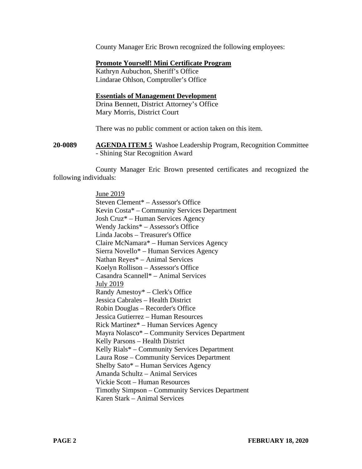County Manager Eric Brown recognized the following employees:

#### **Promote Yourself! Mini Certificate Program**

Kathryn Aubuchon, Sheriff's Office Lindarae Ohlson, Comptroller's Office

## **Essentials of Management Development**

Drina Bennett, District Attorney's Office Mary Morris, District Court

There was no public comment or action taken on this item.

**20-0089 AGENDA ITEM 5** Washoe Leadership Program, Recognition Committee - Shining Star Recognition Award

County Manager Eric Brown presented certificates and recognized the following individuals:

> June 2019 Steven Clement\* – Assessor's Office Kevin Costa\* – Community Services Department Josh Cruz\* – Human Services Agency Wendy Jackins\* – Assessor's Office Linda Jacobs – Treasurer's Office Claire McNamara\* – Human Services Agency Sierra Novello\* – Human Services Agency Nathan Reyes\* – Animal Services Koelyn Rollison – Assessor's Office Casandra Scannell\* – Animal Services July 2019 Randy Amestoy\* – Clerk's Office Jessica Cabrales – Health District Robin Douglas – Recorder's Office Jessica Gutierrez – Human Resources Rick Martinez\* – Human Services Agency Mayra Nolasco\* – Community Services Department Kelly Parsons – Health District Kelly Rials\* – Community Services Department Laura Rose – Community Services Department Shelby Sato\* – Human Services Agency Amanda Schultz – Animal Services Vickie Scott – Human Resources Timothy Simpson – Community Services Department Karen Stark – Animal Services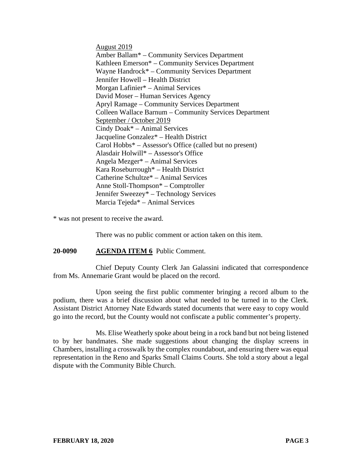August 2019 Amber Ballam\* – Community Services Department Kathleen Emerson\* – Community Services Department Wayne Handrock\* – Community Services Department Jennifer Howell – Health District Morgan Lafinier\* – Animal Services David Moser – Human Services Agency Apryl Ramage – Community Services Department Colleen Wallace Barnum – Community Services Department September / October 2019 Cindy Doak\* – Animal Services Jacqueline Gonzalez\* – Health District Carol Hobbs\* – Assessor's Office (called but no present) Alasdair Holwill\* – Assessor's Office Angela Mezger\* – Animal Services Kara Roseburrough\* – Health District Catherine Schultze\* – Animal Services Anne Stoll-Thompson\* – Comptroller Jennifer Sweezey\* – Technology Services Marcia Tejeda\* – Animal Services

\* was not present to receive the award.

There was no public comment or action taken on this item.

#### **20-0090 AGENDA ITEM 6** Public Comment.

Chief Deputy County Clerk Jan Galassini indicated that correspondence from Ms. Annemarie Grant would be placed on the record.

Upon seeing the first public commenter bringing a record album to the podium, there was a brief discussion about what needed to be turned in to the Clerk. Assistant District Attorney Nate Edwards stated documents that were easy to copy would go into the record, but the County would not confiscate a public commenter's property.

Ms. Elise Weatherly spoke about being in a rock band but not being listened to by her bandmates. She made suggestions about changing the display screens in Chambers, installing a crosswalk by the complex roundabout, and ensuring there was equal representation in the Reno and Sparks Small Claims Courts. She told a story about a legal dispute with the Community Bible Church.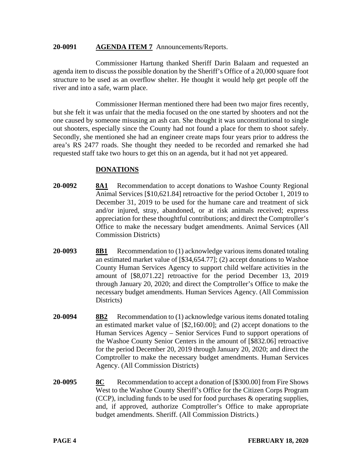#### **20-0091 AGENDA ITEM 7** Announcements/Reports.

Commissioner Hartung thanked Sheriff Darin Balaam and requested an agenda item to discuss the possible donation by the Sheriff's Office of a 20,000 square foot structure to be used as an overflow shelter. He thought it would help get people off the river and into a safe, warm place.

Commissioner Herman mentioned there had been two major fires recently, but she felt it was unfair that the media focused on the one started by shooters and not the one caused by someone misusing an ash can. She thought it was unconstitutional to single out shooters, especially since the County had not found a place for them to shoot safely. Secondly, she mentioned she had an engineer create maps four years prior to address the area's RS 2477 roads. She thought they needed to be recorded and remarked she had requested staff take two hours to get this on an agenda, but it had not yet appeared.

## **DONATIONS**

- **20-0092 8A1** Recommendation to accept donations to Washoe County Regional Animal Services [\$10,621.84] retroactive for the period October 1, 2019 to December 31, 2019 to be used for the humane care and treatment of sick and/or injured, stray, abandoned, or at risk animals received; express appreciation for these thoughtful contributions; and direct the Comptroller's Office to make the necessary budget amendments. Animal Services (All Commission Districts)
- **20-0093 8B1** Recommendation to (1) acknowledge various items donated totaling an estimated market value of [\$34,654.77]; (2) accept donations to Washoe County Human Services Agency to support child welfare activities in the amount of [\$8,071.22] retroactive for the period December 13, 2019 through January 20, 2020; and direct the Comptroller's Office to make the necessary budget amendments. Human Services Agency. (All Commission Districts)
- **20-0094 8B2** Recommendation to (1) acknowledge various items donated totaling an estimated market value of [\$2,160.00]; and (2) accept donations to the Human Services Agency – Senior Services Fund to support operations of the Washoe County Senior Centers in the amount of [\$832.06] retroactive for the period December 20, 2019 through January 20, 2020; and direct the Comptroller to make the necessary budget amendments. Human Services Agency. (All Commission Districts)
- **20-0095 8C** Recommendation to accept a donation of [\$300.00] from Fire Shows West to the Washoe County Sheriff's Office for the Citizen Corps Program (CCP), including funds to be used for food purchases & operating supplies, and, if approved, authorize Comptroller's Office to make appropriate budget amendments. Sheriff. (All Commission Districts.)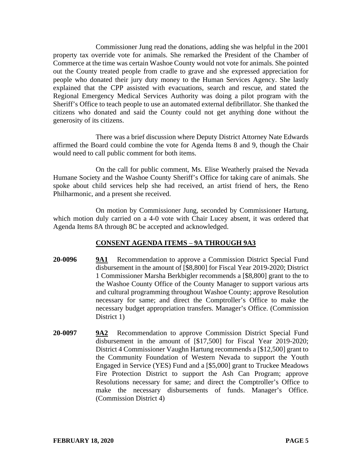Commissioner Jung read the donations, adding she was helpful in the 2001 property tax override vote for animals. She remarked the President of the Chamber of Commerce at the time was certain Washoe County would not vote for animals. She pointed out the County treated people from cradle to grave and she expressed appreciation for people who donated their jury duty money to the Human Services Agency. She lastly explained that the CPP assisted with evacuations, search and rescue, and stated the Regional Emergency Medical Services Authority was doing a pilot program with the Sheriff's Office to teach people to use an automated external defibrillator. She thanked the citizens who donated and said the County could not get anything done without the generosity of its citizens.

There was a brief discussion where Deputy District Attorney Nate Edwards affirmed the Board could combine the vote for Agenda Items 8 and 9, though the Chair would need to call public comment for both items.

On the call for public comment, Ms. Elise Weatherly praised the Nevada Humane Society and the Washoe County Sheriff's Office for taking care of animals. She spoke about child services help she had received, an artist friend of hers, the Reno Philharmonic, and a present she received.

On motion by Commissioner Jung, seconded by Commissioner Hartung, which motion duly carried on a 4-0 vote with Chair Lucey absent, it was ordered that Agenda Items 8A through 8C be accepted and acknowledged.

# **CONSENT AGENDA ITEMS** – **9A THROUGH 9A3**

- **20-0096 9A1** Recommendation to approve a Commission District Special Fund disbursement in the amount of [\$8,800] for Fiscal Year 2019-2020; District 1 Commissioner Marsha Berkbigler recommends a [\$8,800] grant to the to the Washoe County Office of the County Manager to support various arts and cultural programming throughout Washoe County; approve Resolution necessary for same; and direct the Comptroller's Office to make the necessary budget appropriation transfers. Manager's Office. (Commission District 1)
- **20-0097 9A2** Recommendation to approve Commission District Special Fund disbursement in the amount of [\$17,500] for Fiscal Year 2019-2020; District 4 Commissioner Vaughn Hartung recommends a [\$12,500] grant to the Community Foundation of Western Nevada to support the Youth Engaged in Service (YES) Fund and a [\$5,000] grant to Truckee Meadows Fire Protection District to support the Ash Can Program; approve Resolutions necessary for same; and direct the Comptroller's Office to make the necessary disbursements of funds. Manager's Office. (Commission District 4)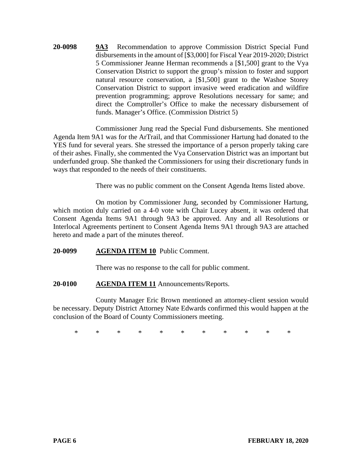**20-0098 9A3** Recommendation to approve Commission District Special Fund disbursements in the amount of [\$3,000] for Fiscal Year 2019-2020; District 5 Commissioner Jeanne Herman recommends a [\$1,500] grant to the Vya Conservation District to support the group's mission to foster and support natural resource conservation, a [\$1,500] grant to the Washoe Storey Conservation District to support invasive weed eradication and wildfire prevention programming; approve Resolutions necessary for same; and direct the Comptroller's Office to make the necessary disbursement of funds. Manager's Office. (Commission District 5)

Commissioner Jung read the Special Fund disbursements. She mentioned Agenda Item 9A1 was for the ArTrail, and that Commissioner Hartung had donated to the YES fund for several years. She stressed the importance of a person properly taking care of their ashes. Finally, she commented the Vya Conservation District was an important but underfunded group. She thanked the Commissioners for using their discretionary funds in ways that responded to the needs of their constituents.

There was no public comment on the Consent Agenda Items listed above.

On motion by Commissioner Jung, seconded by Commissioner Hartung, which motion duly carried on a 4-0 vote with Chair Lucey absent, it was ordered that Consent Agenda Items 9A1 through 9A3 be approved. Any and all Resolutions or Interlocal Agreements pertinent to Consent Agenda Items 9A1 through 9A3 are attached hereto and made a part of the minutes thereof.

## **20-0099 AGENDA ITEM 10** Public Comment.

There was no response to the call for public comment.

#### **20-0100 AGENDA ITEM 11** Announcements/Reports.

County Manager Eric Brown mentioned an attorney-client session would be necessary. Deputy District Attorney Nate Edwards confirmed this would happen at the conclusion of the Board of County Commissioners meeting.

\* \* \* \* \* \* \* \* \* \* \*